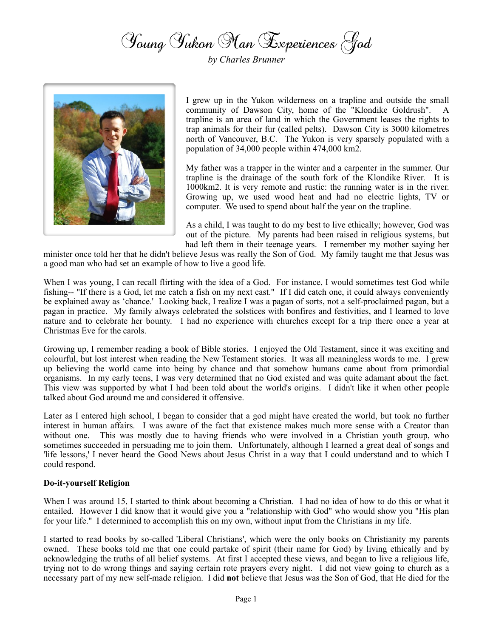Young Yukon Man Experiences God

*by Charles Brunner*



I grew up in the Yukon wilderness on a trapline and outside the small community of Dawson City, home of the "Klondike Goldrush". A trapline is an area of land in which the Government leases the rights to trap animals for their fur (called pelts). Dawson City is 3000 kilometres north of Vancouver, B.C. The Yukon is very sparsely populated with a population of 34,000 people within 474,000 km2.

My father was a trapper in the winter and a carpenter in the summer. Our trapline is the drainage of the south fork of the Klondike River. It is 1000km2. It is very remote and rustic: the running water is in the river. Growing up, we used wood heat and had no electric lights, TV or computer. We used to spend about half the year on the trapline.

As a child, I was taught to do my best to live ethically; however, God was out of the picture. My parents had been raised in religious systems, but had left them in their teenage years. I remember my mother saying her

minister once told her that he didn't believe Jesus was really the Son of God. My family taught me that Jesus was a good man who had set an example of how to live a good life.

When I was young, I can recall flirting with the idea of a God. For instance, I would sometimes test God while fishing-- "If there is a God, let me catch a fish on my next cast." If I did catch one, it could always conveniently be explained away as 'chance.' Looking back, I realize I was a pagan of sorts, not a self-proclaimed pagan, but a pagan in practice. My family always celebrated the solstices with bonfires and festivities, and I learned to love nature and to celebrate her bounty. I had no experience with churches except for a trip there once a year at Christmas Eve for the carols.

Growing up, I remember reading a book of Bible stories. I enjoyed the Old Testament, since it was exciting and colourful, but lost interest when reading the New Testament stories. It was all meaningless words to me. I grew up believing the world came into being by chance and that somehow humans came about from primordial organisms. In my early teens, I was very determined that no God existed and was quite adamant about the fact. This view was supported by what I had been told about the world's origins. I didn't like it when other people talked about God around me and considered it offensive.

Later as I entered high school, I began to consider that a god might have created the world, but took no further interest in human affairs. I was aware of the fact that existence makes much more sense with a Creator than without one. This was mostly due to having friends who were involved in a Christian youth group, who sometimes succeeded in persuading me to join them. Unfortunately, although I learned a great deal of songs and 'life lessons,' I never heard the Good News about Jesus Christ in a way that I could understand and to which I could respond.

## **Do-it-yourself Religion**

When I was around 15, I started to think about becoming a Christian. I had no idea of how to do this or what it entailed. However I did know that it would give you a "relationship with God" who would show you "His plan for your life." I determined to accomplish this on my own, without input from the Christians in my life.

I started to read books by so-called 'Liberal Christians', which were the only books on Christianity my parents owned. These books told me that one could partake of spirit (their name for God) by living ethically and by acknowledging the truths of all belief systems. At first I accepted these views, and began to live a religious life, trying not to do wrong things and saying certain rote prayers every night. I did not view going to church as a necessary part of my new self-made religion. I did **not** believe that Jesus was the Son of God, that He died for the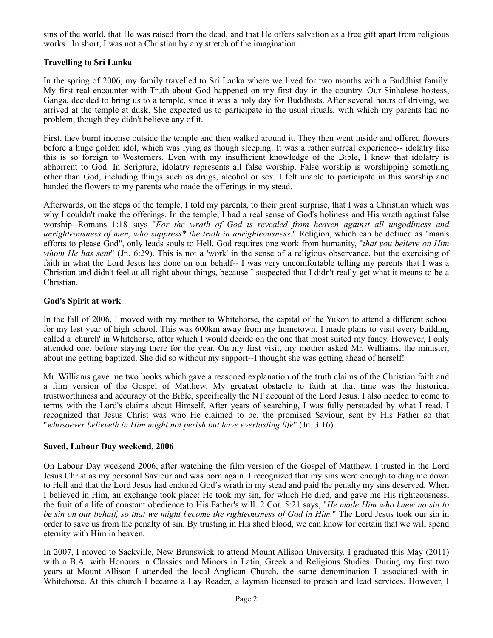sins of the world, that He was raised from the dead, and that He offers salvation as a free gift apart from religious works. In short, I was not a Christian by any stretch of the imagination.

# **Travelling to Sri Lanka**

In the spring of 2006, my family travelled to Sri Lanka where we lived for two months with a Buddhist family. My first real encounter with Truth about God happened on my first day in the country. Our Sinhalese hostess, Ganga, decided to bring us to a temple, since it was a holy day for Buddhists. After several hours of driving, we arrived at the temple at dusk. She expected us to participate in the usual rituals, with which my parents had no problem, though they didn't believe any of it.

First, they burnt incense outside the temple and then walked around it. They then went inside and offered flowers before a huge golden idol, which was lying as though sleeping. It was a rather surreal experience-- idolatry like this is so foreign to Westerners. Even with my insufficient knowledge of the Bible, I knew that idolatry is abhorrent to God. In Scripture, idolatry represents all false worship. False worship is worshipping something other than God, including things such as drugs, alcohol or sex. I felt unable to participate in this worship and handed the flowers to my parents who made the offerings in my stead.

Afterwards, on the steps of the temple, I told my parents, to their great surprise, that I was a Christian which was why I couldn't make the offerings. In the temple, I had a real sense of God's holiness and His wrath against false worship--Romans 1:18 says "*For the wrath of God is revealed from heaven against all ungodliness and unrighteousness of men, who suppress\* the truth in unrighteousness*." Religion, which can be defined as "man's efforts to please God", only leads souls to Hell. God requires one work from humanity, "*that you believe on Him whom He has sent*" (Jn. 6:29). This is not a 'work' in the sense of a religious observance, but the exercising of faith in what the Lord Jesus has done on our behalf-- I was very uncomfortable telling my parents that I was a Christian and didn't feel at all right about things, because I suspected that I didn't really get what it means to be a Christian.

## **God's Spirit at work**

In the fall of 2006, I moved with my mother to Whitehorse, the capital of the Yukon to attend a different school for my last year of high school. This was 600km away from my hometown. I made plans to visit every building called a 'church' in Whitehorse, after which I would decide on the one that most suited my fancy. However, I only attended one, before staying there for the year. On my first visit, my mother asked Mr. Williams, the minister, about me getting baptized. She did so without my support--I thought she was getting ahead of herself!

Mr. Williams gave me two books which gave a reasoned explanation of the truth claims of the Christian faith and a film version of the Gospel of Matthew. My greatest obstacle to faith at that time was the historical trustworthiness and accuracy of the Bible, specifically the NT account of the Lord Jesus. I also needed to come to terms with the Lord's claims about Himself. After years of searching, I was fully persuaded by what I read. I recognized that Jesus Christ was who He claimed to be, the promised Saviour, sent by His Father so that "*whosoever believeth in Him might not perish but have everlasting life*" (Jn. 3:16).

## **Saved, Labour Day weekend, 2006**

On Labour Day weekend 2006, after watching the film version of the Gospel of Matthew, I trusted in the Lord Jesus Christ as my personal Saviour and was born again. I recognized that my sins were enough to drag me down to Hell and that the Lord Jesus had endured God's wrath in my stead and paid the penalty my sins deserved. When I believed in Him, an exchange took place: He took my sin, for which He died, and gave me His righteousness, the fruit of a life of constant obedience to His Father's will. 2 Cor. 5:21 says, "*He made Him who knew no sin to be sin on our behalf, so that we might become the righteousness of God in Him.*" The Lord Jesus took our sin in order to save us from the penalty of sin. By trusting in His shed blood, we can know for certain that we will spend eternity with Him in heaven.

In 2007, I moved to Sackville, New Brunswick to attend Mount Allison University. I graduated this May (2011) with a B.A. with Honours in Classics and Minors in Latin, Greek and Religious Studies. During my first two years at Mount Allison I attended the local Anglican Church, the same denomination I associated with in Whitehorse. At this church I became a Lay Reader, a layman licensed to preach and lead services. However, I